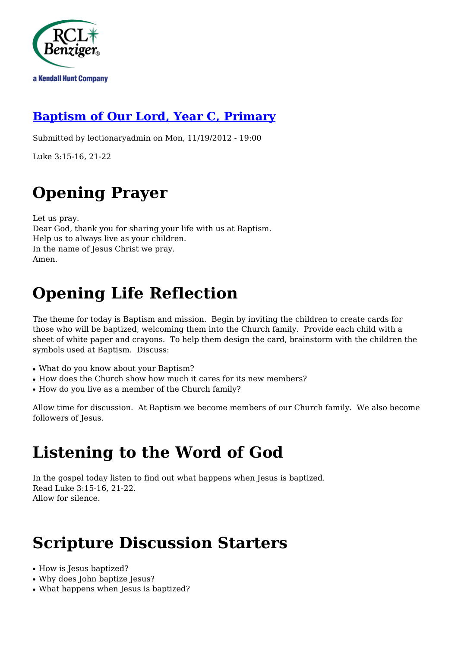

### **[Baptism of Our Lord, Year C, Primary](http://rclblectionary.com/baptism-our-lord-year-c-primary)**

Submitted by lectionaryadmin on Mon, 11/19/2012 - 19:00

Luke 3:15-16, 21-22

# **Opening Prayer**

Let us pray. Dear God, thank you for sharing your life with us at Baptism. Help us to always live as your children. In the name of Jesus Christ we pray. Amen.

# **Opening Life Reflection**

The theme for today is Baptism and mission. Begin by inviting the children to create cards for those who will be baptized, welcoming them into the Church family. Provide each child with a sheet of white paper and crayons. To help them design the card, brainstorm with the children the symbols used at Baptism. Discuss:

- What do you know about your Baptism?
- How does the Church show how much it cares for its new members?
- How do you live as a member of the Church family?

Allow time for discussion. At Baptism we become members of our Church family. We also become followers of Jesus.

### **Listening to the Word of God**

In the gospel today listen to find out what happens when Jesus is baptized. Read Luke 3:15-16, 21-22. Allow for silence.

### **Scripture Discussion Starters**

- How is Jesus baptized?
- Why does John baptize Jesus?
- What happens when Jesus is baptized?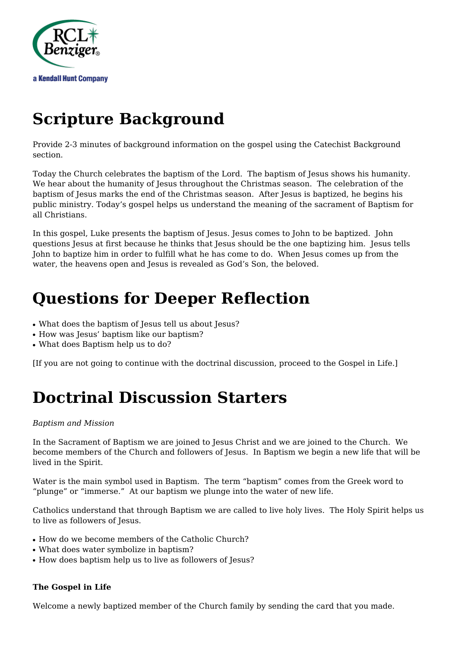

# **Scripture Background**

Provide 2-3 minutes of background information on the gospel using the Catechist Background section.

Today the Church celebrates the baptism of the Lord. The baptism of Jesus shows his humanity. We hear about the humanity of Jesus throughout the Christmas season. The celebration of the baptism of Jesus marks the end of the Christmas season. After Jesus is baptized, he begins his public ministry. Today's gospel helps us understand the meaning of the sacrament of Baptism for all Christians.

In this gospel, Luke presents the baptism of Jesus. Jesus comes to John to be baptized. John questions Jesus at first because he thinks that Jesus should be the one baptizing him. Jesus tells John to baptize him in order to fulfill what he has come to do. When Jesus comes up from the water, the heavens open and Jesus is revealed as God's Son, the beloved.

### **Questions for Deeper Reflection**

- What does the baptism of Jesus tell us about Jesus?
- How was Jesus' baptism like our baptism?
- What does Baptism help us to do?

[If you are not going to continue with the doctrinal discussion, proceed to the Gospel in Life.]

## **Doctrinal Discussion Starters**

#### *Baptism and Mission*

In the Sacrament of Baptism we are joined to Jesus Christ and we are joined to the Church. We become members of the Church and followers of Jesus. In Baptism we begin a new life that will be lived in the Spirit.

Water is the main symbol used in Baptism. The term "baptism" comes from the Greek word to "plunge" or "immerse." At our baptism we plunge into the water of new life.

Catholics understand that through Baptism we are called to live holy lives. The Holy Spirit helps us to live as followers of Jesus.

- How do we become members of the Catholic Church?
- What does water symbolize in baptism?
- How does baptism help us to live as followers of Jesus?

#### **The Gospel in Life**

Welcome a newly baptized member of the Church family by sending the card that you made.